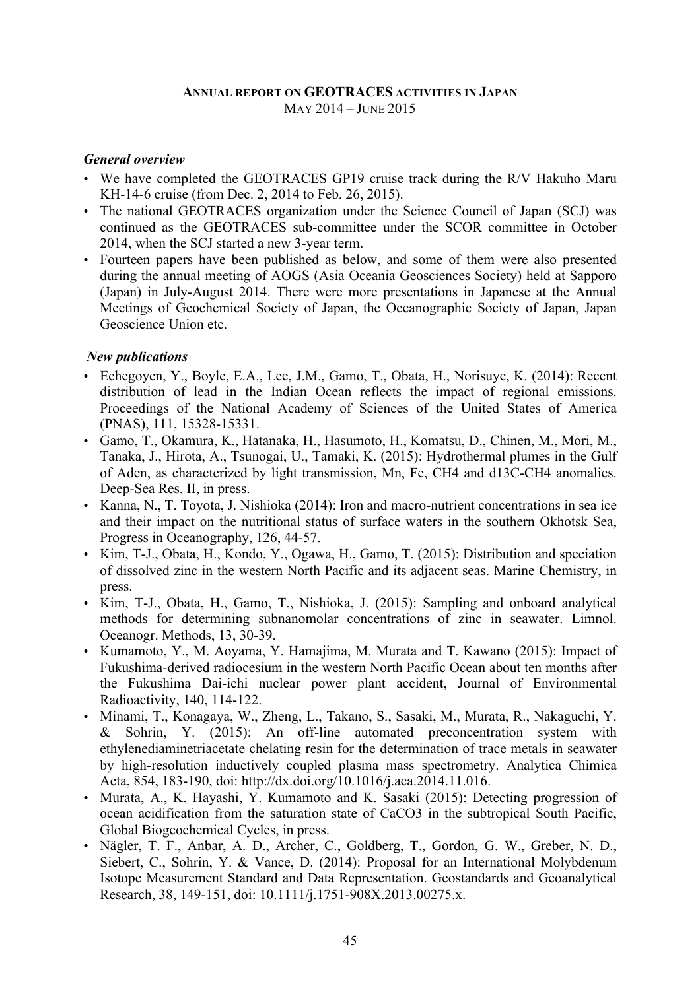#### **ANNUAL REPORT ON GEOTRACES ACTIVITIES IN JAPAN** MAY 2014 – JUNE 2015

#### *General overview*

- We have completed the GEOTRACES GP19 cruise track during the R/V Hakuho Maru KH-14-6 cruise (from Dec. 2, 2014 to Feb. 26, 2015).
- The national GEOTRACES organization under the Science Council of Japan (SCJ) was continued as the GEOTRACES sub-committee under the SCOR committee in October 2014, when the SCJ started a new 3-year term.
- Fourteen papers have been published as below, and some of them were also presented during the annual meeting of AOGS (Asia Oceania Geosciences Society) held at Sapporo (Japan) in July-August 2014. There were more presentations in Japanese at the Annual Meetings of Geochemical Society of Japan, the Oceanographic Society of Japan, Japan Geoscience Union etc.

### *New publications*

- Echegoyen, Y., Boyle, E.A., Lee, J.M., Gamo, T., Obata, H., Norisuye, K. (2014): Recent distribution of lead in the Indian Ocean reflects the impact of regional emissions. Proceedings of the National Academy of Sciences of the United States of America (PNAS), 111, 15328-15331.
- Gamo, T., Okamura, K., Hatanaka, H., Hasumoto, H., Komatsu, D., Chinen, M., Mori, M., Tanaka, J., Hirota, A., Tsunogai, U., Tamaki, K. (2015): Hydrothermal plumes in the Gulf of Aden, as characterized by light transmission, Mn, Fe, CH4 and d13C-CH4 anomalies. Deep-Sea Res. II, in press.
- Kanna, N., T. Toyota, J. Nishioka (2014): Iron and macro-nutrient concentrations in sea ice and their impact on the nutritional status of surface waters in the southern Okhotsk Sea, Progress in Oceanography, 126, 44-57.
- Kim, T-J., Obata, H., Kondo, Y., Ogawa, H., Gamo, T. (2015): Distribution and speciation of dissolved zinc in the western North Pacific and its adjacent seas. Marine Chemistry, in press.
- Kim, T-J., Obata, H., Gamo, T., Nishioka, J. (2015): Sampling and onboard analytical methods for determining subnanomolar concentrations of zinc in seawater. Limnol. Oceanogr. Methods, 13, 30-39.
- Kumamoto, Y., M. Aoyama, Y. Hamajima, M. Murata and T. Kawano (2015): Impact of Fukushima-derived radiocesium in the western North Pacific Ocean about ten months after the Fukushima Dai-ichi nuclear power plant accident, Journal of Environmental Radioactivity, 140, 114-122.
- Minami, T., Konagaya, W., Zheng, L., Takano, S., Sasaki, M., Murata, R., Nakaguchi, Y. & Sohrin, Y. (2015): An off-line automated preconcentration system with ethylenediaminetriacetate chelating resin for the determination of trace metals in seawater by high-resolution inductively coupled plasma mass spectrometry. Analytica Chimica Acta, 854, 183-190, doi: http://dx.doi.org/10.1016/j.aca.2014.11.016.
- Murata, A., K. Hayashi, Y. Kumamoto and K. Sasaki (2015): Detecting progression of ocean acidification from the saturation state of CaCO3 in the subtropical South Pacific, Global Biogeochemical Cycles, in press.
- Nägler, T. F., Anbar, A. D., Archer, C., Goldberg, T., Gordon, G. W., Greber, N. D., Siebert, C., Sohrin, Y. & Vance, D. (2014): Proposal for an International Molybdenum Isotope Measurement Standard and Data Representation. Geostandards and Geoanalytical Research, 38, 149-151, doi: 10.1111/j.1751-908X.2013.00275.x.